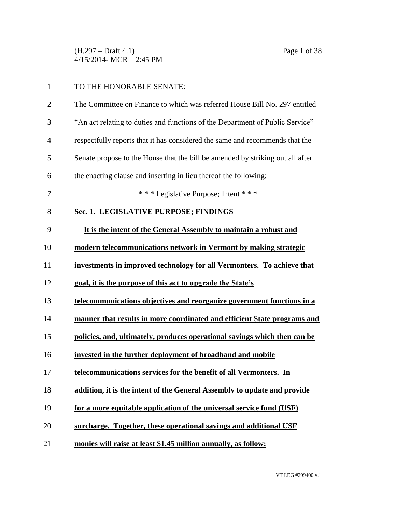(H.297 – Draft 4.1) Page 1 of 38 4/15/2014- MCR – 2:45 PM

# TO THE HONORABLE SENATE:

| $\overline{2}$ | The Committee on Finance to which was referred House Bill No. 297 entitled     |
|----------------|--------------------------------------------------------------------------------|
| 3              | "An act relating to duties and functions of the Department of Public Service"  |
| $\overline{4}$ | respectfully reports that it has considered the same and recommends that the   |
| 5              | Senate propose to the House that the bill be amended by striking out all after |
| 6              | the enacting clause and inserting in lieu thereof the following:               |
| 7              | *** Legislative Purpose; Intent ***                                            |
| 8              | Sec. 1. LEGISLATIVE PURPOSE; FINDINGS                                          |
| 9              | It is the intent of the General Assembly to maintain a robust and              |
| 10             | modern telecommunications network in Vermont by making strategic               |
| 11             | investments in improved technology for all Vermonters. To achieve that         |
| 12             | goal, it is the purpose of this act to upgrade the State's                     |
| 13             | telecommunications objectives and reorganize government functions in a         |
| 14             | manner that results in more coordinated and efficient State programs and       |
| 15             | policies, and, ultimately, produces operational savings which then can be      |
| 16             | invested in the further deployment of broadband and mobile                     |
| 17             | telecommunications services for the benefit of all Vermonters. In              |
| 18             | addition, it is the intent of the General Assembly to update and provide       |
| 19             | for a more equitable application of the universal service fund (USF)           |
| 20             | surcharge. Together, these operational savings and additional USF              |
| 21             | monies will raise at least \$1.45 million annually, as follow:                 |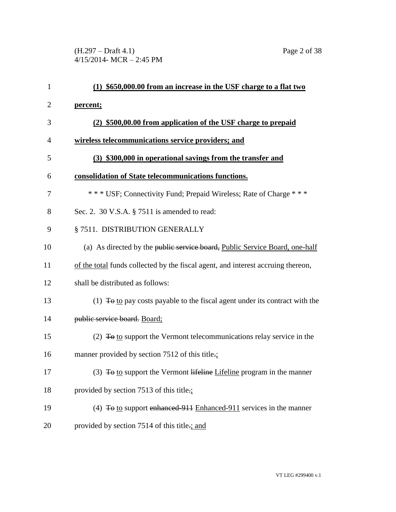(H.297 – Draft 4.1) Page 2 of 38 4/15/2014- MCR – 2:45 PM

| $\mathbf{1}$   | \$650,000.00 from an increase in the USF charge to a flat two                           |
|----------------|-----------------------------------------------------------------------------------------|
| $\overline{2}$ | percent;                                                                                |
| 3              | (2) \$500,00.00 from application of the USF charge to prepaid                           |
| 4              | wireless telecommunications service providers; and                                      |
| 5              | (3) \$300,000 in operational savings from the transfer and                              |
| 6              | consolidation of State telecommunications functions.                                    |
| 7              | *** USF; Connectivity Fund; Prepaid Wireless; Rate of Charge ***                        |
| 8              | Sec. 2. 30 V.S.A. § 7511 is amended to read:                                            |
| 9              | § 7511. DISTRIBUTION GENERALLY                                                          |
| 10             | (a) As directed by the public service board, Public Service Board, one-half             |
| 11             | of the total funds collected by the fiscal agent, and interest accruing thereon,        |
| 12             | shall be distributed as follows:                                                        |
| 13             | (1) $\overline{1}$ to pay costs payable to the fiscal agent under its contract with the |
| 14             | public service board. Board;                                                            |
| 15             | (2) $\overline{10}$ to support the Vermont telecommunications relay service in the      |
| 16             | manner provided by section 7512 of this title.                                          |
| 17             | (3) $\overline{4}$ to support the Vermont lifeline Lifeline program in the manner       |
| 18             | provided by section 7513 of this title.;                                                |
| 19             | (4) $\overline{4}$ to support enhanced 911 Enhanced 911 services in the manner          |
| 20             | provided by section 7514 of this title.; and                                            |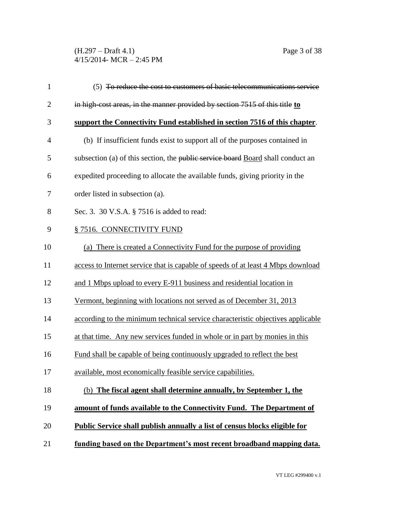(H.297 – Draft 4.1) Page 3 of 38 4/15/2014- MCR – 2:45 PM

| $\mathbf{1}$   | (5) To reduce the cost to customers of basic telecommunications service           |
|----------------|-----------------------------------------------------------------------------------|
| $\overline{2}$ | in high-cost areas, in the manner provided by section $7515$ of this title to     |
| 3              | support the Connectivity Fund established in section 7516 of this chapter.        |
| $\overline{4}$ | (b) If insufficient funds exist to support all of the purposes contained in       |
| 5              | subsection (a) of this section, the public service board Board shall conduct an   |
| 6              | expedited proceeding to allocate the available funds, giving priority in the      |
| 7              | order listed in subsection (a).                                                   |
| 8              | Sec. 3. 30 V.S.A. § 7516 is added to read:                                        |
| 9              | § 7516. CONNECTIVITY FUND                                                         |
| 10             | (a) There is created a Connectivity Fund for the purpose of providing             |
| 11             | access to Internet service that is capable of speeds of at least 4 Mbps download  |
| 12             | and 1 Mbps upload to every E-911 business and residential location in             |
| 13             | Vermont, beginning with locations not served as of December 31, 2013              |
| 14             | according to the minimum technical service characteristic objectives applicable   |
| 15             | at that time. Any new services funded in whole or in part by monies in this       |
| 16             | Fund shall be capable of being continuously upgraded to reflect the best          |
| 17             | available, most economically feasible service capabilities.                       |
| 18             | (b) The fiscal agent shall determine annually, by September 1, the                |
| 19             | amount of funds available to the Connectivity Fund. The Department of             |
| 20             | <b>Public Service shall publish annually a list of census blocks eligible for</b> |
| 21             | funding based on the Department's most recent broadband mapping data.             |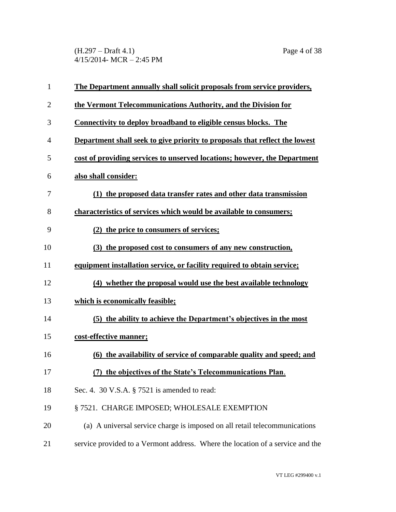(H.297 – Draft 4.1) Page 4 of 38 4/15/2014- MCR – 2:45 PM

| $\mathbf{1}$ | The Department annually shall solicit proposals from service providers,        |
|--------------|--------------------------------------------------------------------------------|
| 2            | the Vermont Telecommunications Authority, and the Division for                 |
| 3            | Connectivity to deploy broadband to eligible census blocks. The                |
| 4            | Department shall seek to give priority to proposals that reflect the lowest    |
| 5            | cost of providing services to unserved locations; however, the Department      |
| 6            | also shall consider:                                                           |
| 7            | (1) the proposed data transfer rates and other data transmission               |
| 8            | characteristics of services which would be available to consumers;             |
| 9            | (2) the price to consumers of services;                                        |
| 10           | (3) the proposed cost to consumers of any new construction,                    |
| 11           | equipment installation service, or facility required to obtain service;        |
| 12           | (4) whether the proposal would use the best available technology               |
| 13           | which is economically feasible;                                                |
| 14           | (5) the ability to achieve the Department's objectives in the most             |
| 15           | cost-effective manner;                                                         |
| 16           | (6) the availability of service of comparable quality and speed; and           |
| 17           | (7) the objectives of the State's Telecommunications Plan.                     |
| 18           | Sec. 4. 30 V.S.A. § 7521 is amended to read:                                   |
| 19           | §7521. CHARGE IMPOSED; WHOLESALE EXEMPTION                                     |
| 20           | (a) A universal service charge is imposed on all retail telecommunications     |
| 21           | service provided to a Vermont address. Where the location of a service and the |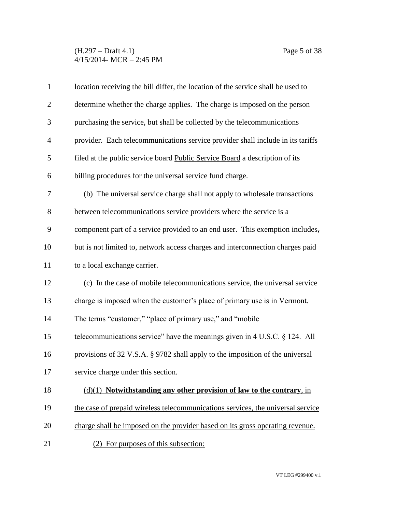## (H.297 – Draft 4.1) Page 5 of 38 4/15/2014- MCR – 2:45 PM

| $\mathbf{1}$   | location receiving the bill differ, the location of the service shall be used to |
|----------------|----------------------------------------------------------------------------------|
| $\mathbf{2}$   | determine whether the charge applies. The charge is imposed on the person        |
| 3              | purchasing the service, but shall be collected by the telecommunications         |
| $\overline{4}$ | provider. Each telecommunications service provider shall include in its tariffs  |
| 5              | filed at the public service board Public Service Board a description of its      |
| 6              | billing procedures for the universal service fund charge.                        |
| 7              | (b) The universal service charge shall not apply to wholesale transactions       |
| 8              | between telecommunications service providers where the service is a              |
| 9              | component part of a service provided to an end user. This exemption includes,    |
| 10             | but is not limited to, network access charges and interconnection charges paid   |
| 11             | to a local exchange carrier.                                                     |
| 12             | (c) In the case of mobile telecommunications service, the universal service      |
| 13             | charge is imposed when the customer's place of primary use is in Vermont.        |
| 14             | The terms "customer," "place of primary use," and "mobile"                       |
| 15             | telecommunications service" have the meanings given in 4 U.S.C. § 124. All       |
| 16             | provisions of 32 V.S.A. § 9782 shall apply to the imposition of the universal    |
| 17             | service charge under this section.                                               |
| 18             | $(d)(1)$ Notwithstanding any other provision of law to the contrary, in          |
| 19             | the case of prepaid wireless telecommunications services, the universal service  |
| 20             | charge shall be imposed on the provider based on its gross operating revenue.    |
| 21             | For purposes of this subsection:                                                 |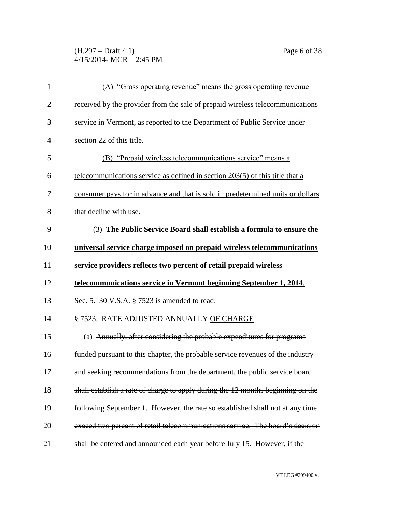(H.297 – Draft 4.1) Page 6 of 38 4/15/2014- MCR – 2:45 PM

| $\mathbf{1}$   | (A) "Gross operating revenue" means the gross operating revenue                 |
|----------------|---------------------------------------------------------------------------------|
| $\overline{2}$ | received by the provider from the sale of prepaid wireless telecommunications   |
| 3              | service in Vermont, as reported to the Department of Public Service under       |
| $\overline{4}$ | section 22 of this title.                                                       |
| 5              | (B) "Prepaid wireless telecommunications service" means a                       |
| 6              | telecommunications service as defined in section 203(5) of this title that a    |
| 7              | consumer pays for in advance and that is sold in predetermined units or dollars |
| 8              | that decline with use.                                                          |
| 9              | (3) The Public Service Board shall establish a formula to ensure the            |
| 10             | universal service charge imposed on prepaid wireless telecommunications         |
| 11             | service providers reflects two percent of retail prepaid wireless               |
|                |                                                                                 |
| 12             | telecommunications service in Vermont beginning September 1, 2014.              |
| 13             | Sec. 5. 30 V.S.A. § 7523 is amended to read:                                    |
| 14             | § 7523. RATE ADJUSTED ANNUALLY OF CHARGE                                        |
| 15             | (a) Annually, after considering the probable expenditures for programs          |
| 16             | funded pursuant to this chapter, the probable service revenues of the industry  |
| 17             | and seeking recommendations from the department, the public service board       |
| 18             | shall establish a rate of charge to apply during the 12 months beginning on the |
| 19             | following September 1. However, the rate so established shall not at any time   |
| 20             | exceed two percent of retail telecommunications service. The board's decision   |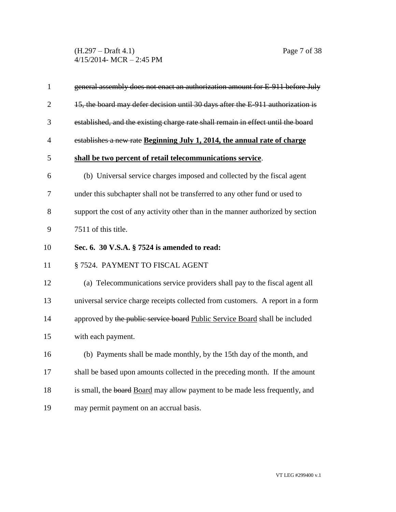(H.297 – Draft 4.1) Page 7 of 38 4/15/2014- MCR – 2:45 PM

| $\mathbf{1}$             | general assembly does not enact an authorization amount for E-911 before July    |
|--------------------------|----------------------------------------------------------------------------------|
| $\overline{2}$           | 15, the board may defer decision until 30 days after the E-911 authorization is  |
| 3                        | established, and the existing charge rate shall remain in effect until the board |
| $\overline{\mathcal{A}}$ | establishes a new rate Beginning July 1, 2014, the annual rate of charge         |
| 5                        | shall be two percent of retail telecommunications service.                       |
| 6                        | (b) Universal service charges imposed and collected by the fiscal agent          |
| 7                        | under this subchapter shall not be transferred to any other fund or used to      |
| 8                        | support the cost of any activity other than in the manner authorized by section  |
| 9                        | 7511 of this title.                                                              |
| 10                       | Sec. 6. 30 V.S.A. § 7524 is amended to read:                                     |
| 11                       | § 7524. PAYMENT TO FISCAL AGENT                                                  |
| 12                       | (a) Telecommunications service providers shall pay to the fiscal agent all       |
| 13                       | universal service charge receipts collected from customers. A report in a form   |
| 14                       | approved by the public service board Public Service Board shall be included      |
| 15                       | with each payment.                                                               |
| 16                       | (b) Payments shall be made monthly, by the 15th day of the month, and            |
| 17                       | shall be based upon amounts collected in the preceding month. If the amount      |
| 18                       | is small, the board Board may allow payment to be made less frequently, and      |
| 19                       | may permit payment on an accrual basis.                                          |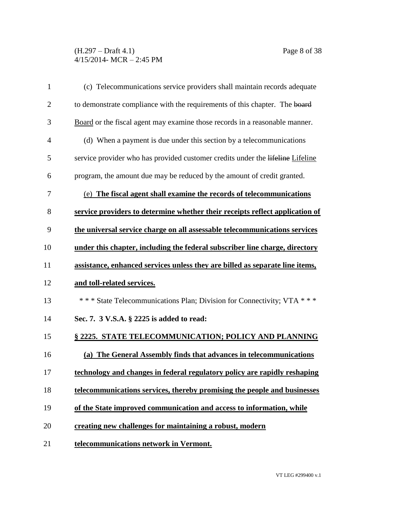(H.297 – Draft 4.1) Page 8 of 38 4/15/2014- MCR – 2:45 PM

| $\mathbf{1}$   | (c) Telecommunications service providers shall maintain records adequate       |
|----------------|--------------------------------------------------------------------------------|
| $\overline{2}$ | to demonstrate compliance with the requirements of this chapter. The board     |
| 3              | Board or the fiscal agent may examine those records in a reasonable manner.    |
| $\overline{4}$ | (d) When a payment is due under this section by a telecommunications           |
| 5              | service provider who has provided customer credits under the lifeline Lifeline |
| 6              | program, the amount due may be reduced by the amount of credit granted.        |
| 7              | (e) The fiscal agent shall examine the records of telecommunications           |
| 8              | service providers to determine whether their receipts reflect application of   |
| 9              | the universal service charge on all assessable telecommunications services     |
| 10             | under this chapter, including the federal subscriber line charge, directory    |
| 11             | assistance, enhanced services unless they are billed as separate line items,   |
| 12             | and toll-related services.                                                     |
| 13             | *** State Telecommunications Plan; Division for Connectivity; VTA ***          |
| 14             | Sec. 7. 3 V.S.A. § 2225 is added to read:                                      |
| 15             | § 2225. STATE TELECOMMUNICATION; POLICY AND PLANNING                           |
| 16             | (a) The General Assembly finds that advances in telecommunications             |
| 17             | technology and changes in federal regulatory policy are rapidly reshaping      |
| 18             | telecommunications services, thereby promising the people and businesses       |
| 19             | of the State improved communication and access to information, while           |
| 20             | creating new challenges for maintaining a robust, modern                       |
| 21             | telecommunications network in Vermont.                                         |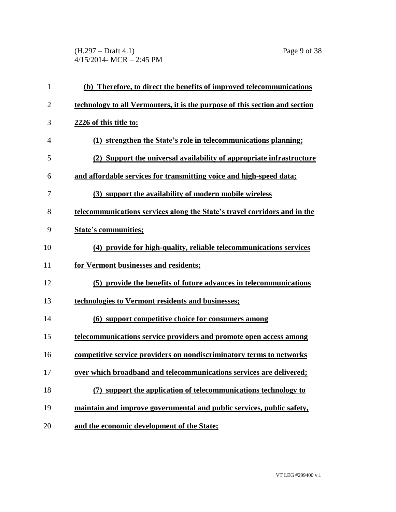(H.297 – Draft 4.1) Page 9 of 38 4/15/2014- MCR – 2:45 PM

| $\mathbf{1}$   | (b) Therefore, to direct the benefits of improved telecommunications        |
|----------------|-----------------------------------------------------------------------------|
| $\overline{2}$ | technology to all Vermonters, it is the purpose of this section and section |
| 3              | 2226 of this title to:                                                      |
| 4              | (1) strengthen the State's role in telecommunications planning;             |
| 5              | (2) Support the universal availability of appropriate infrastructure        |
| 6              | and affordable services for transmitting voice and high-speed data;         |
| 7              | (3) support the availability of modern mobile wireless                      |
| 8              | telecommunications services along the State's travel corridors and in the   |
| 9              | <b>State's communities;</b>                                                 |
| 10             | (4) provide for high-quality, reliable telecommunications services          |
| 11             | for Vermont businesses and residents;                                       |
| 12             | (5) provide the benefits of future advances in telecommunications           |
| 13             | technologies to Vermont residents and businesses;                           |
| 14             | (6) support competitive choice for consumers among                          |
| 15             | telecommunications service providers and promote open access among          |
| 16             | competitive service providers on nondiscriminatory terms to networks        |
| 17             | over which broadband and telecommunications services are delivered;         |
| 18             | support the application of telecommunications technology to                 |
| 19             | maintain and improve governmental and public services, public safety,       |
| 20             | and the economic development of the State;                                  |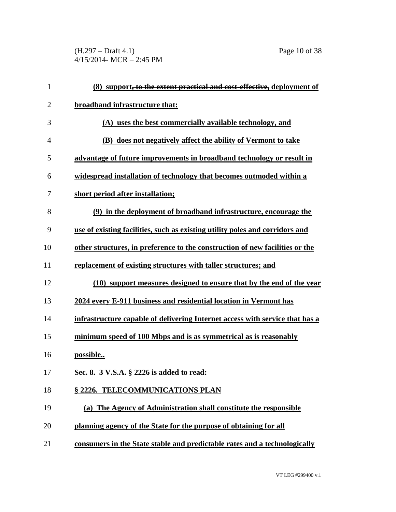(H.297 – Draft 4.1) Page 10 of 38 4/15/2014- MCR – 2:45 PM

| 1              | (8) support, to the extent practical and cost-effective, deployment of       |
|----------------|------------------------------------------------------------------------------|
| $\overline{2}$ | broadband infrastructure that:                                               |
| 3              | (A) uses the best commercially available technology, and                     |
| 4              | (B) does not negatively affect the ability of Vermont to take                |
| 5              | advantage of future improvements in broadband technology or result in        |
| 6              | widespread installation of technology that becomes outmoded within a         |
| 7              | short period after installation;                                             |
| 8              | (9) in the deployment of broadband infrastructure, encourage the             |
| 9              | use of existing facilities, such as existing utility poles and corridors and |
| 10             | other structures, in preference to the construction of new facilities or the |
| 11             | replacement of existing structures with taller structures; and               |
| 12             | (10) support measures designed to ensure that by the end of the year         |
| 13             | 2024 every E-911 business and residential location in Vermont has            |
| 14             | infrastructure capable of delivering Internet access with service that has a |
| 15             | minimum speed of 100 Mbps and is as symmetrical as is reasonably             |
| 16             | possible                                                                     |
| 17             | Sec. 8. 3 V.S.A. § 2226 is added to read:                                    |
| 18             | § 2226. TELECOMMUNICATIONS PLAN                                              |
| 19             | (a) The Agency of Administration shall constitute the responsible            |
| 20             | planning agency of the State for the purpose of obtaining for all            |
| 21             | consumers in the State stable and predictable rates and a technologically    |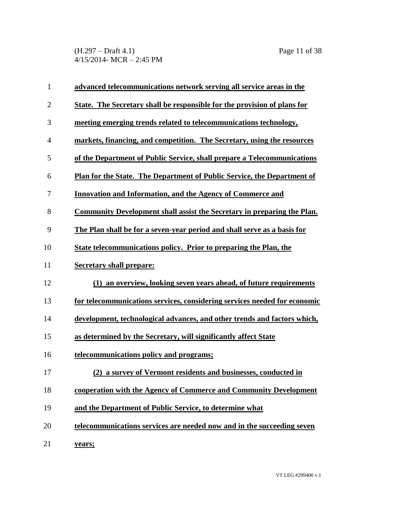(H.297 – Draft 4.1) Page 11 of 38 4/15/2014- MCR – 2:45 PM

| $\mathbf{1}$   | advanced telecommunications network serving all service areas in the           |
|----------------|--------------------------------------------------------------------------------|
| $\overline{2}$ | State. The Secretary shall be responsible for the provision of plans for       |
| 3              | meeting emerging trends related to telecommunications technology,              |
| 4              | markets, financing, and competition. The Secretary, using the resources        |
| 5              | of the Department of Public Service, shall prepare a Telecommunications        |
| 6              | <b>Plan for the State. The Department of Public Service, the Department of</b> |
| 7              | <b>Innovation and Information, and the Agency of Commerce and</b>              |
| 8              | <b>Community Development shall assist the Secretary in preparing the Plan.</b> |
| 9              | The Plan shall be for a seven-year period and shall serve as a basis for       |
| 10             | State telecommunications policy. Prior to preparing the Plan, the              |
| 11             | <b>Secretary shall prepare:</b>                                                |
| 12             | (1) an overview, looking seven years ahead, of future requirements             |
| 13             | for telecommunications services, considering services needed for economic      |
| 14             | development, technological advances, and other trends and factors which,       |
| 15             | as determined by the Secretary, will significantly affect State                |
| 16             | telecommunications policy and programs;                                        |
| 17             | (2) a survey of Vermont residents and businesses, conducted in                 |
| 18             | cooperation with the Agency of Commerce and Community Development              |
| 19             | and the Department of Public Service, to determine what                        |
| 20             | telecommunications services are needed now and in the succeeding seven         |
| 21             | years;                                                                         |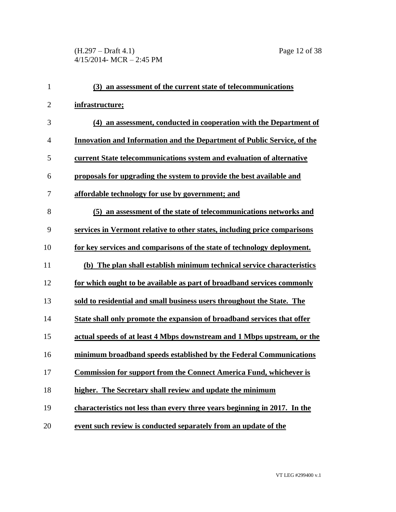(H.297 – Draft 4.1) Page 12 of 38 4/15/2014- MCR – 2:45 PM

| $\mathbf{1}$   | (3) an assessment of the current state of telecommunications              |
|----------------|---------------------------------------------------------------------------|
| $\overline{c}$ | infrastructure;                                                           |
| 3              | (4) an assessment, conducted in cooperation with the Department of        |
| $\overline{4}$ | Innovation and Information and the Department of Public Service, of the   |
| 5              | current State telecommunications system and evaluation of alternative     |
| 6              | proposals for upgrading the system to provide the best available and      |
| 7              | affordable technology for use by government; and                          |
| 8              | (5) an assessment of the state of telecommunications networks and         |
| 9              | services in Vermont relative to other states, including price comparisons |
| 10             | for key services and comparisons of the state of technology deployment.   |
| 11             | (b) The plan shall establish minimum technical service characteristics    |
| 12             | for which ought to be available as part of broadband services commonly    |
| 13             | sold to residential and small business users throughout the State. The    |
| 14             | State shall only promote the expansion of broadband services that offer   |
| 15             | actual speeds of at least 4 Mbps downstream and 1 Mbps upstream, or the   |
| 16             | minimum broadband speeds established by the Federal Communications        |
| 17             | <b>Commission for support from the Connect America Fund, whichever is</b> |
| 18             | higher. The Secretary shall review and update the minimum                 |
| 19             | characteristics not less than every three years beginning in 2017. In the |
| 20             | event such review is conducted separately from an update of the           |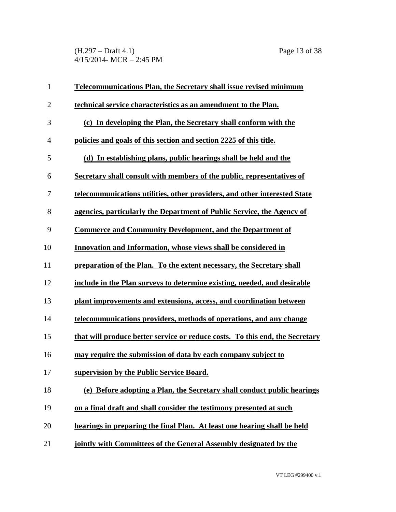(H.297 – Draft 4.1) Page 13 of 38 4/15/2014- MCR – 2:45 PM

| $\mathbf{1}$   | <b>Telecommunications Plan, the Secretary shall issue revised minimum</b>    |
|----------------|------------------------------------------------------------------------------|
| $\overline{c}$ | technical service characteristics as an amendment to the Plan.               |
| 3              | (c) In developing the Plan, the Secretary shall conform with the             |
| 4              | policies and goals of this section and section 2225 of this title.           |
| 5              | (d) In establishing plans, public hearings shall be held and the             |
| 6              | Secretary shall consult with members of the public, representatives of       |
| 7              | telecommunications utilities, other providers, and other interested State    |
| 8              | agencies, particularly the Department of Public Service, the Agency of       |
| 9              | <b>Commerce and Community Development, and the Department of</b>             |
| 10             | Innovation and Information, whose views shall be considered in               |
| 11             | preparation of the Plan. To the extent necessary, the Secretary shall        |
| 12             | include in the Plan surveys to determine existing, needed, and desirable     |
| 13             | plant improvements and extensions, access, and coordination between          |
| 14             | telecommunications providers, methods of operations, and any change          |
| 15             | that will produce better service or reduce costs. To this end, the Secretary |
| 16             | may require the submission of data by each company subject to                |
| 17             | supervision by the Public Service Board.                                     |
| 18             | (e) Before adopting a Plan, the Secretary shall conduct public hearings      |
| 19             | on a final draft and shall consider the testimony presented at such          |
| 20             | hearings in preparing the final Plan. At least one hearing shall be held     |
| 21             | jointly with Committees of the General Assembly designated by the            |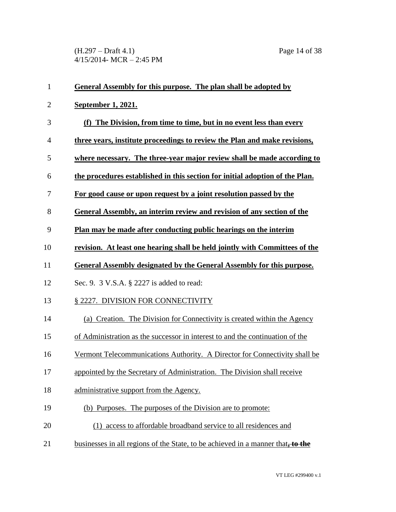(H.297 – Draft 4.1) Page 14 of 38 4/15/2014- MCR – 2:45 PM

| $\mathbf{1}$   | <b>General Assembly for this purpose. The plan shall be adopted by</b>          |
|----------------|---------------------------------------------------------------------------------|
| $\overline{c}$ | <u>September 1, 2021.</u>                                                       |
| 3              | (f) The Division, from time to time, but in no event less than every            |
| 4              | three years, institute proceedings to review the Plan and make revisions,       |
| 5              | where necessary. The three-year major review shall be made according to         |
| 6              | the procedures established in this section for initial adoption of the Plan.    |
| 7              | For good cause or upon request by a joint resolution passed by the              |
| 8              | General Assembly, an interim review and revision of any section of the          |
| 9              | Plan may be made after conducting public hearings on the interim                |
| 10             | revision. At least one hearing shall be held jointly with Committees of the     |
| 11             | <b>General Assembly designated by the General Assembly for this purpose.</b>    |
| 12             | Sec. 9. 3 V.S.A. § 2227 is added to read:                                       |
| 13             | § 2227. DIVISION FOR CONNECTIVITY                                               |
| 14             | (a) Creation. The Division for Connectivity is created within the Agency        |
| 15             | of Administration as the successor in interest to and the continuation of the   |
| 16             | Vermont Telecommunications Authority. A Director for Connectivity shall be      |
| 17             | appointed by the Secretary of Administration. The Division shall receive        |
| 18             | administrative support from the Agency.                                         |
| 19             | (b) Purposes. The purposes of the Division are to promote:                      |
| 20             | (1) access to affordable broadband service to all residences and                |
| 21             | businesses in all regions of the State, to be achieved in a manner that, to the |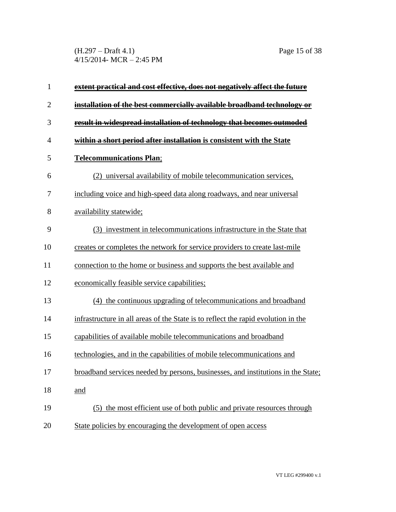(H.297 – Draft 4.1) Page 15 of 38 4/15/2014- MCR – 2:45 PM

| $\mathbf{1}$   | extent practical and cost effective, does not negatively affect the future        |
|----------------|-----------------------------------------------------------------------------------|
| $\overline{2}$ | installation of the best commercially available broadband technology or           |
| 3              | result in widespread installation of technology that becomes outmoded             |
| $\overline{4}$ | within a short period after installation is consistent with the State             |
| 5              | <b>Telecommunications Plan;</b>                                                   |
| 6              | (2) universal availability of mobile telecommunication services,                  |
| 7              | including voice and high-speed data along roadways, and near universal            |
| 8              | availability statewide;                                                           |
| 9              | (3) investment in telecommunications infrastructure in the State that             |
| 10             | creates or completes the network for service providers to create last-mile        |
| 11             | connection to the home or business and supports the best available and            |
| 12             | economically feasible service capabilities;                                       |
| 13             | (4) the continuous upgrading of telecommunications and broadband                  |
| 14             | infrastructure in all areas of the State is to reflect the rapid evolution in the |
| 15             | capabilities of available mobile telecommunications and broadband                 |
| 16             | technologies, and in the capabilities of mobile telecommunications and            |
| 17             | broadband services needed by persons, businesses, and institutions in the State;  |
| 18             | and                                                                               |
| 19             | (5) the most efficient use of both public and private resources through           |
| 20             | State policies by encouraging the development of open access                      |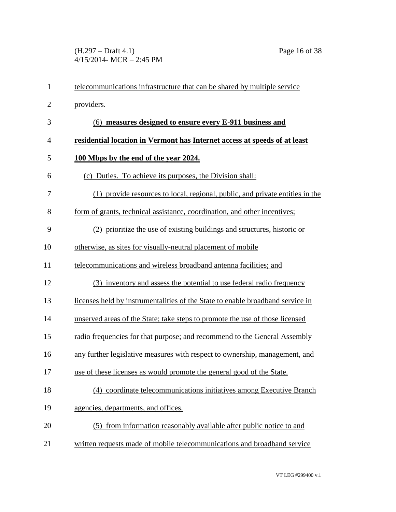(H.297 – Draft 4.1) Page 16 of 38 4/15/2014- MCR – 2:45 PM

| $\mathbf{1}$   | telecommunications infrastructure that can be shared by multiple service       |
|----------------|--------------------------------------------------------------------------------|
| $\overline{2}$ | providers.                                                                     |
| 3              | (6) measures designed to ensure every E-911 business and                       |
| 4              | residential location in Vermont has Internet access at speeds of at least      |
| 5              | 100 Mbps by the end of the year 2024.                                          |
| 6              | (c) Duties. To achieve its purposes, the Division shall:                       |
| 7              | (1) provide resources to local, regional, public, and private entities in the  |
| 8              | form of grants, technical assistance, coordination, and other incentives;      |
| 9              | (2) prioritize the use of existing buildings and structures, historic or       |
| 10             | otherwise, as sites for visually-neutral placement of mobile                   |
| 11             | telecommunications and wireless broadband antenna facilities; and              |
| 12             | (3) inventory and assess the potential to use federal radio frequency          |
| 13             | licenses held by instrumentalities of the State to enable broadband service in |
| 14             | unserved areas of the State; take steps to promote the use of those licensed   |
| 15             | radio frequencies for that purpose; and recommend to the General Assembly      |
| 16             | any further legislative measures with respect to ownership, management, and    |
| 17             | use of these licenses as would promote the general good of the State.          |
| 18             | (4) coordinate telecommunications initiatives among Executive Branch           |
| 19             | agencies, departments, and offices.                                            |
| 20             | (5) from information reasonably available after public notice to and           |
| 21             | written requests made of mobile telecommunications and broadband service       |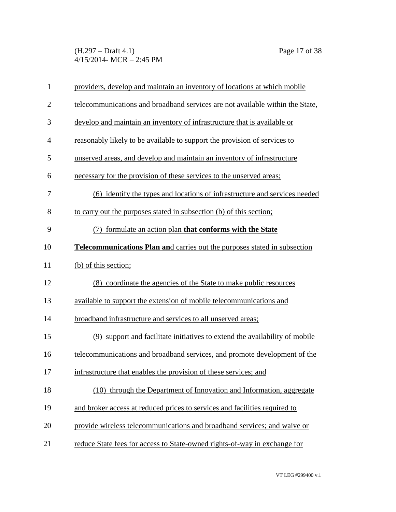(H.297 – Draft 4.1) Page 17 of 38 4/15/2014- MCR – 2:45 PM

| $\mathbf{1}$   | providers, develop and maintain an inventory of locations at which mobile     |
|----------------|-------------------------------------------------------------------------------|
| $\overline{2}$ | telecommunications and broadband services are not available within the State, |
| 3              | develop and maintain an inventory of infrastructure that is available or      |
| $\overline{4}$ | reasonably likely to be available to support the provision of services to     |
| 5              | unserved areas, and develop and maintain an inventory of infrastructure       |
| 6              | necessary for the provision of these services to the unserved areas;          |
| 7              | (6) identify the types and locations of infrastructure and services needed    |
| 8              | to carry out the purposes stated in subsection (b) of this section;           |
| 9              | formulate an action plan that conforms with the State<br>(7)                  |
| 10             | Telecommunications Plan and carries out the purposes stated in subsection     |
| 11             | (b) of this section;                                                          |
| 12             | (8) coordinate the agencies of the State to make public resources             |
| 13             | available to support the extension of mobile telecommunications and           |
| 14             | broadband infrastructure and services to all unserved areas;                  |
| 15             | (9) support and facilitate initiatives to extend the availability of mobile   |
| 16             | telecommunications and broadband services, and promote development of the     |
| 17             | infrastructure that enables the provision of these services; and              |
| 18             | (10) through the Department of Innovation and Information, aggregate          |
| 19             | and broker access at reduced prices to services and facilities required to    |
| 20             | provide wireless telecommunications and broadband services; and waive or      |
| 21             | reduce State fees for access to State-owned rights-of-way in exchange for     |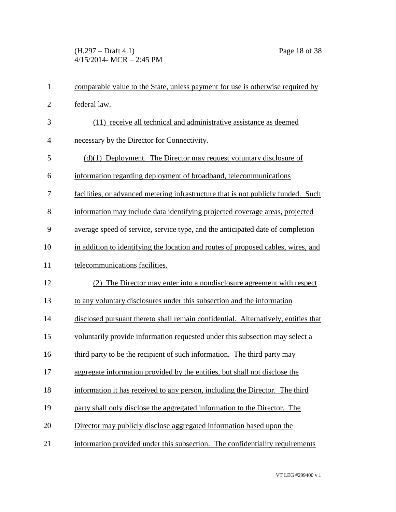(H.297 – Draft 4.1) Page 18 of 38 4/15/2014- MCR – 2:45 PM

| comparable value to the State, unless payment for use is otherwise required by     |
|------------------------------------------------------------------------------------|
| federal law.                                                                       |
| (11) receive all technical and administrative assistance as deemed                 |
| necessary by the Director for Connectivity.                                        |
| $(d)(1)$ Deployment. The Director may request voluntary disclosure of              |
| information regarding deployment of broadband, telecommunications                  |
| facilities, or advanced metering infrastructure that is not publicly funded. Such  |
| information may include data identifying projected coverage areas, projected       |
| average speed of service, service type, and the anticipated date of completion     |
| in addition to identifying the location and routes of proposed cables, wires, and  |
| telecommunications facilities.                                                     |
| (2) The Director may enter into a nondisclosure agreement with respect             |
| to any voluntary disclosures under this subsection and the information             |
| disclosed pursuant thereto shall remain confidential. Alternatively, entities that |
| voluntarily provide information requested under this subsection may select a       |
| third party to be the recipient of such information. The third party may           |
| aggregate information provided by the entities, but shall not disclose the         |
| information it has received to any person, including the Director. The third       |
| party shall only disclose the aggregated information to the Director. The          |
| Director may publicly disclose aggregated information based upon the               |
| information provided under this subsection. The confidentiality requirements       |
|                                                                                    |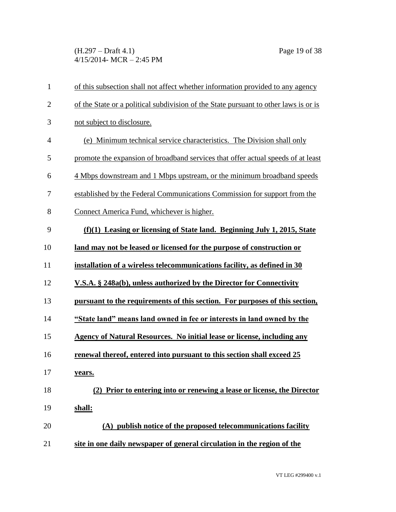(H.297 – Draft 4.1) Page 19 of 38 4/15/2014- MCR – 2:45 PM

| $\mathbf{1}$   | of this subsection shall not affect whether information provided to any agency       |
|----------------|--------------------------------------------------------------------------------------|
| $\overline{2}$ | of the State or a political subdivision of the State pursuant to other laws is or is |
| 3              | not subject to disclosure.                                                           |
| $\overline{4}$ | (e) Minimum technical service characteristics. The Division shall only               |
| 5              | promote the expansion of broadband services that offer actual speeds of at least     |
| 6              | 4 Mbps downstream and 1 Mbps upstream, or the minimum broadband speeds               |
| 7              | established by the Federal Communications Commission for support from the            |
| 8              | Connect America Fund, whichever is higher.                                           |
| 9              | (f)(1) Leasing or licensing of State land. Beginning July 1, 2015, State             |
| 10             | land may not be leased or licensed for the purpose of construction or                |
| 11             | installation of a wireless telecommunications facility, as defined in 30             |
| 12             | V.S.A. § 248a(b), unless authorized by the Director for Connectivity                 |
| 13             | pursuant to the requirements of this section. For purposes of this section,          |
| 14             | "State land" means land owned in fee or interests in land owned by the               |
| 15             | <b>Agency of Natural Resources. No initial lease or license, including any</b>       |
| 16             | renewal thereof, entered into pursuant to this section shall exceed 25               |
| 17             | <u>years.</u>                                                                        |
| 18             | Prior to entering into or renewing a lease or license, the Director<br>(2)           |
| 19             | shall:                                                                               |
| 20             | (A) publish notice of the proposed telecommunications facility                       |
| 21             | site in one daily newspaper of general circulation in the region of the              |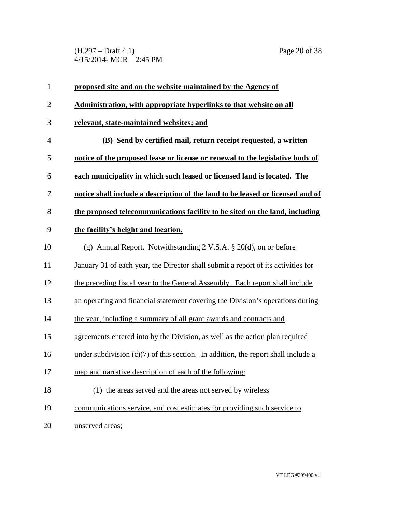(H.297 – Draft 4.1) Page 20 of 38 4/15/2014- MCR – 2:45 PM

| 1              | proposed site and on the website maintained by the Agency of                        |
|----------------|-------------------------------------------------------------------------------------|
| $\overline{2}$ | Administration, with appropriate hyperlinks to that website on all                  |
| 3              | relevant, state-maintained websites; and                                            |
| 4              | (B) Send by certified mail, return receipt requested, a written                     |
| 5              | notice of the proposed lease or license or renewal to the legislative body of       |
| 6              | each municipality in which such leased or licensed land is located. The             |
| 7              | notice shall include a description of the land to be leased or licensed and of      |
| 8              | the proposed telecommunications facility to be sited on the land, including         |
| 9              | the facility's height and location.                                                 |
| 10             | (g) Annual Report. Notwithstanding $2 \text{ V.S.A. } § 20(d)$ , on or before       |
| 11             | January 31 of each year, the Director shall submit a report of its activities for   |
| 12             | the preceding fiscal year to the General Assembly. Each report shall include        |
| 13             | an operating and financial statement covering the Division's operations during      |
| 14             | the year, including a summary of all grant awards and contracts and                 |
| 15             | agreements entered into by the Division, as well as the action plan required        |
| 16             | under subdivision $(c)(7)$ of this section. In addition, the report shall include a |
| 17             | map and narrative description of each of the following:                             |
| 18             | (1) the areas served and the areas not served by wireless                           |
| 19             | communications service, and cost estimates for providing such service to            |
| 20             | unserved areas;                                                                     |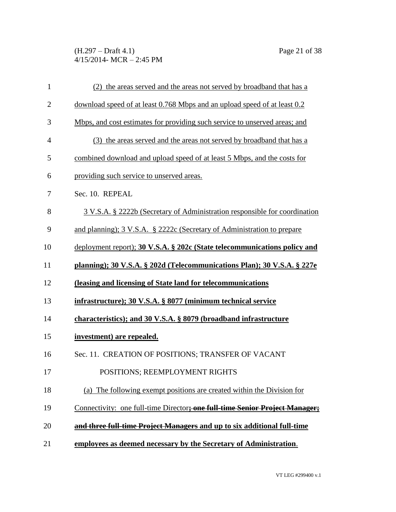(H.297 – Draft 4.1) Page 21 of 38 4/15/2014- MCR – 2:45 PM

| $\mathbf{1}$   | (2) the areas served and the areas not served by broadband that has a       |
|----------------|-----------------------------------------------------------------------------|
| $\overline{2}$ | download speed of at least 0.768 Mbps and an upload speed of at least 0.2   |
| 3              | Mbps, and cost estimates for providing such service to unserved areas; and  |
| $\overline{4}$ | (3) the areas served and the areas not served by broadband that has a       |
| 5              | combined download and upload speed of at least 5 Mbps, and the costs for    |
| 6              | providing such service to unserved areas.                                   |
| 7              | Sec. 10. REPEAL                                                             |
| 8              | 3 V.S.A. § 2222b (Secretary of Administration responsible for coordination  |
| 9              | and planning); 3 V.S.A. § 2222c (Secretary of Administration to prepare     |
| 10             | deployment report); 30 V.S.A. § 202c (State telecommunications policy and   |
| 11             | planning); 30 V.S.A. § 202d (Telecommunications Plan); 30 V.S.A. § 227e     |
| 12             | (leasing and licensing of State land for telecommunications                 |
| 13             | infrastructure); 30 V.S.A. § 8077 (minimum technical service                |
| 14             | characteristics); and 30 V.S.A. § 8079 (broadband infrastructure            |
| 15             | investment) are repealed.                                                   |
| 16             | Sec. 11. CREATION OF POSITIONS; TRANSFER OF VACANT                          |
| 17             | POSITIONS; REEMPLOYMENT RIGHTS                                              |
| 18             | (a) The following exempt positions are created within the Division for      |
| 19             | Connectivity: one full-time Director; one full-time Senior Project Manager; |
| 20             | and three full-time Project Managers and up to six additional full-time     |
| 21             | employees as deemed necessary by the Secretary of Administration.           |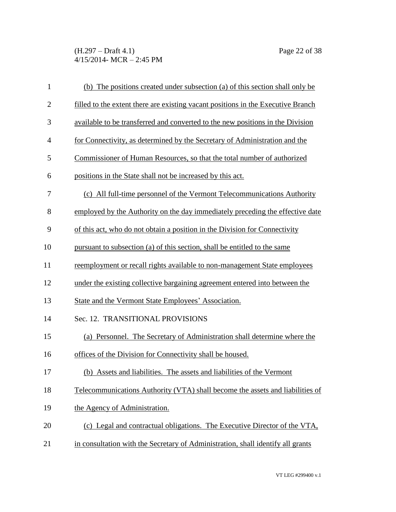(H.297 – Draft 4.1) Page 22 of 38 4/15/2014- MCR – 2:45 PM

| $\mathbf{1}$   | (b) The positions created under subsection (a) of this section shall only be     |
|----------------|----------------------------------------------------------------------------------|
| $\mathbf{2}$   | filled to the extent there are existing vacant positions in the Executive Branch |
| 3              | available to be transferred and converted to the new positions in the Division   |
| $\overline{4}$ | for Connectivity, as determined by the Secretary of Administration and the       |
| 5              | Commissioner of Human Resources, so that the total number of authorized          |
| 6              | positions in the State shall not be increased by this act.                       |
| 7              | (c) All full-time personnel of the Vermont Telecommunications Authority          |
| 8              | employed by the Authority on the day immediately preceding the effective date    |
| 9              | of this act, who do not obtain a position in the Division for Connectivity       |
| 10             | pursuant to subsection (a) of this section, shall be entitled to the same        |
| 11             | reemployment or recall rights available to non-management State employees        |
| 12             | under the existing collective bargaining agreement entered into between the      |
| 13             | State and the Vermont State Employees' Association.                              |
| 14             | Sec. 12. TRANSITIONAL PROVISIONS                                                 |
| 15             | (a) Personnel. The Secretary of Administration shall determine where the         |
| 16             | offices of the Division for Connectivity shall be housed.                        |
| 17             | (b) Assets and liabilities. The assets and liabilities of the Vermont            |
| 18             | Telecommunications Authority (VTA) shall become the assets and liabilities of    |
| 19             | the Agency of Administration.                                                    |
| 20             | (c) Legal and contractual obligations. The Executive Director of the VTA,        |
| 21             | in consultation with the Secretary of Administration, shall identify all grants  |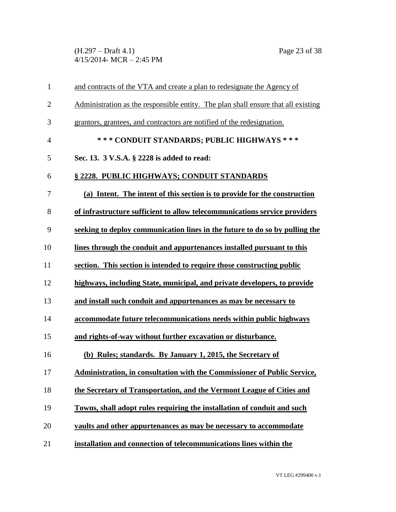(H.297 – Draft 4.1) Page 23 of 38 4/15/2014- MCR – 2:45 PM

| and contracts of the VTA and create a plan to redesignate the Agency of           |
|-----------------------------------------------------------------------------------|
| Administration as the responsible entity. The plan shall ensure that all existing |
| grantors, grantees, and contractors are notified of the redesignation.            |
| *** CONDUIT STANDARDS; PUBLIC HIGHWAYS ***                                        |
| Sec. 13. 3 V.S.A. § 2228 is added to read:                                        |
| § 2228. PUBLIC HIGHWAYS; CONDUIT STANDARDS                                        |
| (a) Intent. The intent of this section is to provide for the construction         |
| of infrastructure sufficient to allow telecommunications service providers        |
| seeking to deploy communication lines in the future to do so by pulling the       |
| lines through the conduit and appurtenances installed pursuant to this            |
| section. This section is intended to require those constructing public            |
| highways, including State, municipal, and private developers, to provide          |
| and install such conduit and appurtenances as may be necessary to                 |
| accommodate future telecommunications needs within public highways                |
| and rights-of-way without further excavation or disturbance.                      |
| (b) Rules; standards. By January 1, 2015, the Secretary of                        |
| Administration, in consultation with the Commissioner of Public Service,          |
| the Secretary of Transportation, and the Vermont League of Cities and             |
| Towns, shall adopt rules requiring the installation of conduit and such           |
| vaults and other appurtenances as may be necessary to accommodate                 |
| installation and connection of telecommunications lines within the                |
|                                                                                   |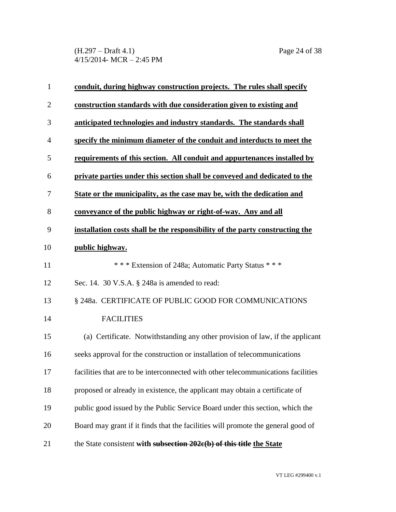(H.297 – Draft 4.1) Page 24 of 38 4/15/2014- MCR – 2:45 PM

| 1              | conduit, during highway construction projects. The rules shall specify            |
|----------------|-----------------------------------------------------------------------------------|
| $\overline{2}$ | construction standards with due consideration given to existing and               |
| 3              | anticipated technologies and industry standards. The standards shall              |
| 4              | specify the minimum diameter of the conduit and interducts to meet the            |
| 5              | requirements of this section. All conduit and appurtenances installed by          |
| 6              | private parties under this section shall be conveyed and dedicated to the         |
| 7              | State or the municipality, as the case may be, with the dedication and            |
| 8              | conveyance of the public highway or right-of-way. Any and all                     |
| 9              | installation costs shall be the responsibility of the party constructing the      |
| 10             | public highway.                                                                   |
| 11             | *** Extension of 248a; Automatic Party Status ***                                 |
| 12             | Sec. 14. 30 V.S.A. § 248a is amended to read:                                     |
| 13             | § 248a. CERTIFICATE OF PUBLIC GOOD FOR COMMUNICATIONS                             |
| 14             | <b>FACILITIES</b>                                                                 |
| 15             | (a) Certificate. Notwithstanding any other provision of law, if the applicant     |
| 16             | seeks approval for the construction or installation of telecommunications         |
| 17             | facilities that are to be interconnected with other telecommunications facilities |
| 18             | proposed or already in existence, the applicant may obtain a certificate of       |
| 19             | public good issued by the Public Service Board under this section, which the      |
| 20             | Board may grant if it finds that the facilities will promote the general good of  |
| 21             | the State consistent with subsection 202c(b) of this title the State              |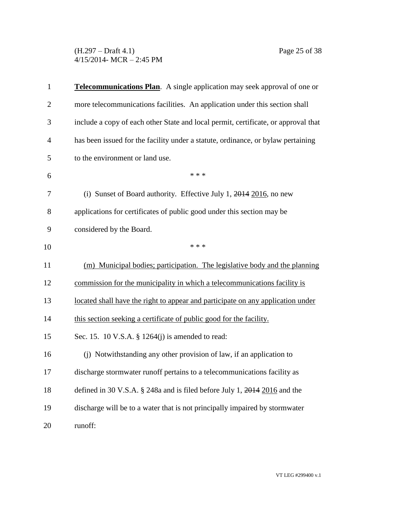(H.297 – Draft 4.1) Page 25 of 38 4/15/2014- MCR – 2:45 PM

| $\mathbf{1}$   | <b>Telecommunications Plan.</b> A single application may seek approval of one or   |
|----------------|------------------------------------------------------------------------------------|
| $\overline{2}$ | more telecommunications facilities. An application under this section shall        |
| 3              | include a copy of each other State and local permit, certificate, or approval that |
| $\overline{4}$ | has been issued for the facility under a statute, ordinance, or bylaw pertaining   |
| 5              | to the environment or land use.                                                    |
| 6              | * * *                                                                              |
| 7              | (i) Sunset of Board authority. Effective July 1, 2014 2016, no new                 |
| 8              | applications for certificates of public good under this section may be             |
| 9              | considered by the Board.                                                           |
| 10             | * * *                                                                              |
| 11             | (m) Municipal bodies; participation. The legislative body and the planning         |
| 12             | commission for the municipality in which a telecommunications facility is          |
| 13             | located shall have the right to appear and participate on any application under    |
| 14             | this section seeking a certificate of public good for the facility.                |
| 15             | Sec. 15. 10 V.S.A. § 1264(j) is amended to read:                                   |
| 16             | (i) Notwithstanding any other provision of law, if an application to               |
| 17             | discharge stormwater runoff pertains to a telecommunications facility as           |
| 18             | defined in 30 V.S.A. § 248a and is filed before July 1, 2014 2016 and the          |
| 19             | discharge will be to a water that is not principally impaired by stormwater        |
| 20             | runoff:                                                                            |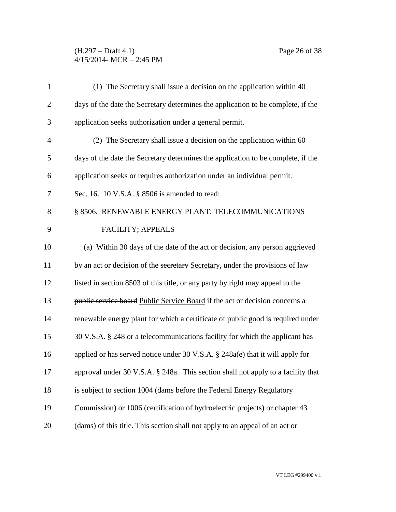## (H.297 – Draft 4.1) Page 26 of 38 4/15/2014- MCR – 2:45 PM

| $\mathbf{1}$   | (1) The Secretary shall issue a decision on the application within 40            |
|----------------|----------------------------------------------------------------------------------|
| $\overline{2}$ | days of the date the Secretary determines the application to be complete, if the |
| 3              | application seeks authorization under a general permit.                          |
| $\overline{4}$ | (2) The Secretary shall issue a decision on the application within 60            |
| 5              | days of the date the Secretary determines the application to be complete, if the |
| 6              | application seeks or requires authorization under an individual permit.          |
| 7              | Sec. 16. 10 V.S.A. § 8506 is amended to read:                                    |
| 8              | § 8506. RENEWABLE ENERGY PLANT; TELECOMMUNICATIONS                               |
| 9              | <b>FACILITY; APPEALS</b>                                                         |
| 10             | (a) Within 30 days of the date of the act or decision, any person aggrieved      |
| 11             | by an act or decision of the secretary Secretary, under the provisions of law    |
| 12             | listed in section 8503 of this title, or any party by right may appeal to the    |
| 13             | public service board Public Service Board if the act or decision concerns a      |
| 14             | renewable energy plant for which a certificate of public good is required under  |
| 15             | 30 V.S.A. § 248 or a telecommunications facility for which the applicant has     |
| 16             | applied or has served notice under 30 V.S.A. $\S$ 248a(e) that it will apply for |
| 17             | approval under 30 V.S.A. § 248a. This section shall not apply to a facility that |
| 18             | is subject to section 1004 (dams before the Federal Energy Regulatory            |
| 19             | Commission) or 1006 (certification of hydroelectric projects) or chapter 43      |
| 20             | (dams) of this title. This section shall not apply to an appeal of an act or     |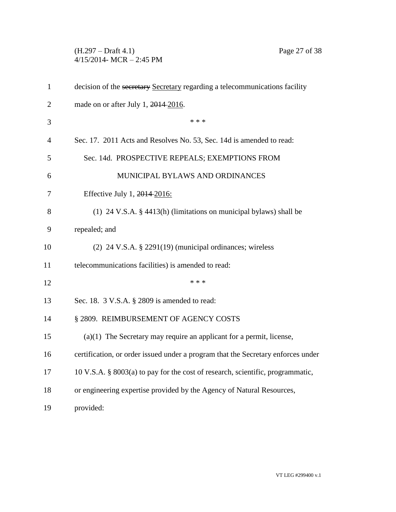(H.297 – Draft 4.1) Page 27 of 38 4/15/2014- MCR – 2:45 PM

| $\mathbf{1}$ | decision of the secretary Secretary regarding a telecommunications facility      |
|--------------|----------------------------------------------------------------------------------|
| 2            | made on or after July 1, 2014 2016.                                              |
| 3            | * * *                                                                            |
| 4            | Sec. 17. 2011 Acts and Resolves No. 53, Sec. 14d is amended to read:             |
| 5            | Sec. 14d. PROSPECTIVE REPEALS; EXEMPTIONS FROM                                   |
| 6            | MUNICIPAL BYLAWS AND ORDINANCES                                                  |
| 7            | Effective July 1, 2014-2016:                                                     |
| 8            | (1) 24 V.S.A. § 4413(h) (limitations on municipal bylaws) shall be               |
| 9            | repealed; and                                                                    |
| 10           | $(2)$ 24 V.S.A. § 2291(19) (municipal ordinances; wireless                       |
| 11           | telecommunications facilities) is amended to read:                               |
| 12           | * * *                                                                            |
| 13           | Sec. 18. 3 V.S.A. § 2809 is amended to read:                                     |
| 14           | § 2809. REIMBURSEMENT OF AGENCY COSTS                                            |
| 15           | $(a)(1)$ The Secretary may require an applicant for a permit, license,           |
| 16           | certification, or order issued under a program that the Secretary enforces under |
| 17           | 10 V.S.A. § 8003(a) to pay for the cost of research, scientific, programmatic,   |
| 18           | or engineering expertise provided by the Agency of Natural Resources,            |
| 19           | provided:                                                                        |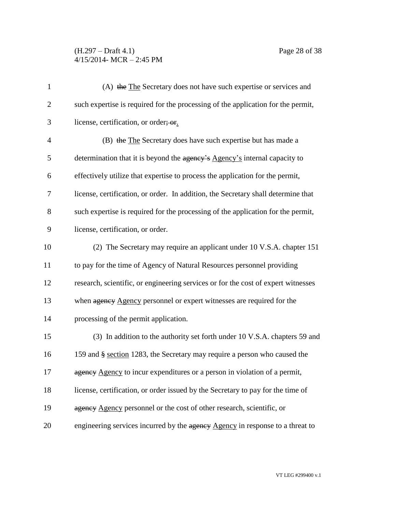(H.297 – Draft 4.1) Page 28 of 38 4/15/2014- MCR – 2:45 PM

| $\mathbf{1}$   | (A) the The Secretary does not have such expertise or services and                |
|----------------|-----------------------------------------------------------------------------------|
| $\overline{2}$ | such expertise is required for the processing of the application for the permit,  |
| 3              | license, certification, or order; or.                                             |
| $\overline{4}$ | (B) the The Secretary does have such expertise but has made a                     |
| 5              | determination that it is beyond the agency's Agency's internal capacity to        |
| 6              | effectively utilize that expertise to process the application for the permit,     |
| 7              | license, certification, or order. In addition, the Secretary shall determine that |
| 8              | such expertise is required for the processing of the application for the permit,  |
| 9              | license, certification, or order.                                                 |
| 10             | (2) The Secretary may require an applicant under 10 V.S.A. chapter 151            |
| 11             | to pay for the time of Agency of Natural Resources personnel providing            |
| 12             | research, scientific, or engineering services or for the cost of expert witnesses |
| 13             | when agency Agency personnel or expert witnesses are required for the             |
| 14             | processing of the permit application.                                             |
| 15             | (3) In addition to the authority set forth under 10 V.S.A. chapters 59 and        |
| 16             | 159 and § section 1283, the Secretary may require a person who caused the         |
| 17             | agency Agency to incur expenditures or a person in violation of a permit,         |
| 18             | license, certification, or order issued by the Secretary to pay for the time of   |
| 19             | agency Agency personnel or the cost of other research, scientific, or             |
| 20             | engineering services incurred by the agency Agency in response to a threat to     |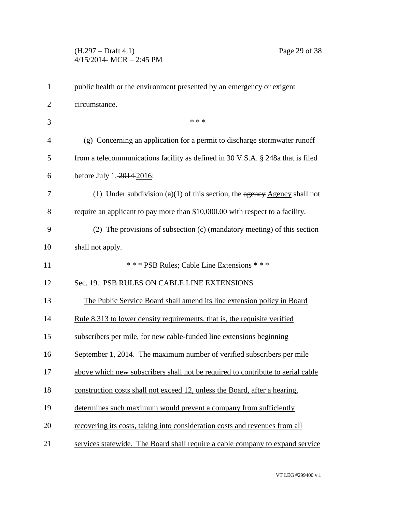## (H.297 – Draft 4.1) Page 29 of 38 4/15/2014- MCR – 2:45 PM

| $\mathbf{1}$   | public health or the environment presented by an emergency or exigent            |
|----------------|----------------------------------------------------------------------------------|
| $\overline{c}$ | circumstance.                                                                    |
| 3              | * * *                                                                            |
| $\overline{4}$ | (g) Concerning an application for a permit to discharge stormwater runoff        |
| 5              | from a telecommunications facility as defined in 30 V.S.A. § 248a that is filed  |
| 6              | before July 1, 2014-2016:                                                        |
| 7              | (1) Under subdivision (a)(1) of this section, the $\frac{1}{2}$ agency shall not |
| 8              | require an applicant to pay more than \$10,000.00 with respect to a facility.    |
| 9              | (2) The provisions of subsection (c) (mandatory meeting) of this section         |
| 10             | shall not apply.                                                                 |
| 11             | *** PSB Rules; Cable Line Extensions ***                                         |
| 12             | Sec. 19. PSB RULES ON CABLE LINE EXTENSIONS                                      |
| 13             | The Public Service Board shall amend its line extension policy in Board          |
| 14             | Rule 8.313 to lower density requirements, that is, the requisite verified        |
| 15             | subscribers per mile, for new cable-funded line extensions beginning             |
| 16             | September 1, 2014. The maximum number of verified subscribers per mile           |
| 17             | above which new subscribers shall not be required to contribute to aerial cable  |
| 18             | construction costs shall not exceed 12, unless the Board, after a hearing,       |
| 19             | determines such maximum would prevent a company from sufficiently                |
| 20             | recovering its costs, taking into consideration costs and revenues from all      |
| 21             | services statewide. The Board shall require a cable company to expand service    |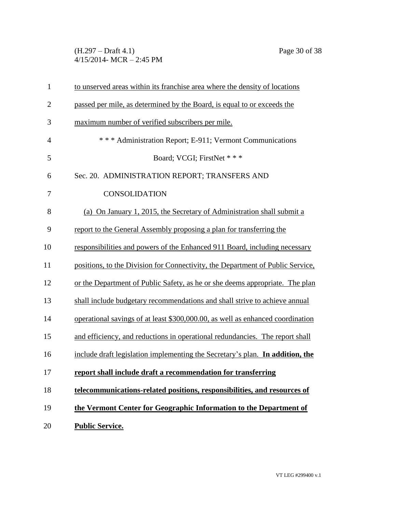(H.297 – Draft 4.1) Page 30 of 38 4/15/2014- MCR – 2:45 PM

| $\mathbf{1}$   | to unserved areas within its franchise area where the density of locations     |
|----------------|--------------------------------------------------------------------------------|
| $\overline{2}$ | passed per mile, as determined by the Board, is equal to or exceeds the        |
| 3              | maximum number of verified subscribers per mile.                               |
| $\overline{4}$ | *** Administration Report; E-911; Vermont Communications                       |
| 5              | Board; VCGI; FirstNet * * *                                                    |
| 6              | Sec. 20. ADMINISTRATION REPORT; TRANSFERS AND                                  |
| 7              | <b>CONSOLIDATION</b>                                                           |
| 8              | (a) On January 1, 2015, the Secretary of Administration shall submit a         |
| 9              | report to the General Assembly proposing a plan for transferring the           |
| 10             | responsibilities and powers of the Enhanced 911 Board, including necessary     |
| 11             | positions, to the Division for Connectivity, the Department of Public Service, |
| 12             | or the Department of Public Safety, as he or she deems appropriate. The plan   |
| 13             | shall include budgetary recommendations and shall strive to achieve annual     |
| 14             | operational savings of at least \$300,000.00, as well as enhanced coordination |
| 15             | and efficiency, and reductions in operational redundancies. The report shall   |
| 16             | include draft legislation implementing the Secretary's plan. In addition, the  |
| 17             | report shall include draft a recommendation for transferring                   |
| 18             | telecommunications-related positions, responsibilities, and resources of       |
| 19             | the Vermont Center for Geographic Information to the Department of             |
| 20             | <b>Public Service.</b>                                                         |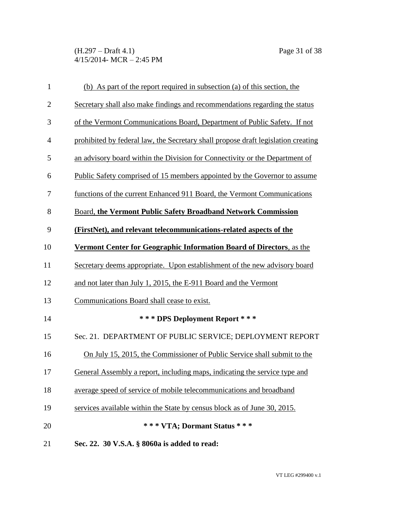(H.297 – Draft 4.1) Page 31 of 38 4/15/2014- MCR – 2:45 PM

| $\mathbf{1}$   | (b) As part of the report required in subsection (a) of this section, the         |
|----------------|-----------------------------------------------------------------------------------|
| $\mathbf{2}$   | Secretary shall also make findings and recommendations regarding the status       |
| 3              | of the Vermont Communications Board, Department of Public Safety. If not          |
| $\overline{4}$ | prohibited by federal law, the Secretary shall propose draft legislation creating |
| 5              | an advisory board within the Division for Connectivity or the Department of       |
| 6              | Public Safety comprised of 15 members appointed by the Governor to assume         |
| 7              | functions of the current Enhanced 911 Board, the Vermont Communications           |
| 8              | <b>Board, the Vermont Public Safety Broadband Network Commission</b>              |
| 9              | (FirstNet), and relevant telecommunications-related aspects of the                |
| 10             | Vermont Center for Geographic Information Board of Directors, as the              |
| 11             | Secretary deems appropriate. Upon establishment of the new advisory board         |
| 12             | and not later than July 1, 2015, the E-911 Board and the Vermont                  |
| 13             | Communications Board shall cease to exist.                                        |
| 14             | *** DPS Deployment Report ***                                                     |
| 15             | Sec. 21. DEPARTMENT OF PUBLIC SERVICE; DEPLOYMENT REPORT                          |
| 16             | On July 15, 2015, the Commissioner of Public Service shall submit to the          |
| 17             | General Assembly a report, including maps, indicating the service type and        |
| 18             | average speed of service of mobile telecommunications and broadband               |
| 19             | services available within the State by census block as of June 30, 2015.          |
| 20             | *** VTA; Dormant Status ***                                                       |
| 21             | Sec. 22. 30 V.S.A. § 8060a is added to read:                                      |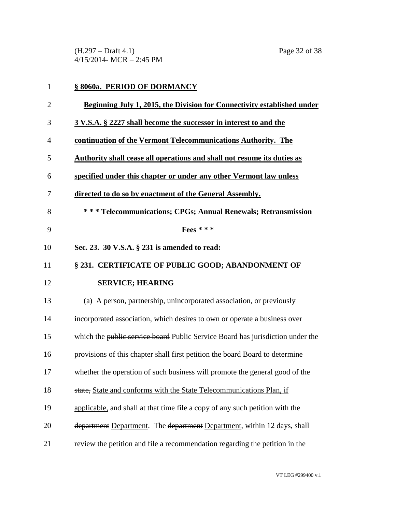(H.297 – Draft 4.1) Page 32 of 38 4/15/2014- MCR – 2:45 PM

| 1              | § 8060a. PERIOD OF DORMANCY                                                    |
|----------------|--------------------------------------------------------------------------------|
| $\overline{c}$ | Beginning July 1, 2015, the Division for Connectivity established under        |
| 3              | 3 V.S.A. § 2227 shall become the successor in interest to and the              |
| 4              | continuation of the Vermont Telecommunications Authority. The                  |
| 5              | Authority shall cease all operations and shall not resume its duties as        |
| 6              | specified under this chapter or under any other Vermont law unless             |
| 7              | directed to do so by enactment of the General Assembly.                        |
| 8              | *** Telecommunications; CPGs; Annual Renewals; Retransmission                  |
| 9              | Fees ***                                                                       |
| 10             | Sec. 23. 30 V.S.A. § 231 is amended to read:                                   |
| 11             | § 231. CERTIFICATE OF PUBLIC GOOD; ABANDONMENT OF                              |
| 12             | <b>SERVICE; HEARING</b>                                                        |
| 13             | (a) A person, partnership, unincorporated association, or previously           |
| 14             | incorporated association, which desires to own or operate a business over      |
| 15             | which the public service board Public Service Board has jurisdiction under the |
| 16             | provisions of this chapter shall first petition the board Board to determine   |
| 17             | whether the operation of such business will promote the general good of the    |
| 18             | state, State and conforms with the State Telecommunications Plan, if           |
| 19             | applicable, and shall at that time file a copy of any such petition with the   |
| 20             | department Department. The department Department, within 12 days, shall        |
| 21             | review the petition and file a recommendation regarding the petition in the    |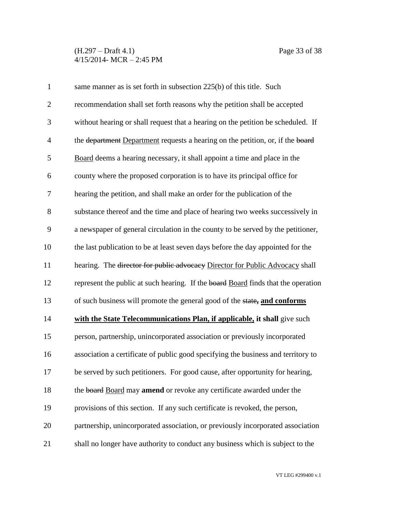(H.297 – Draft 4.1) Page 33 of 38 4/15/2014- MCR – 2:45 PM

| $\mathbf{1}$   | same manner as is set forth in subsection 225(b) of this title. Such              |
|----------------|-----------------------------------------------------------------------------------|
| $\overline{2}$ | recommendation shall set forth reasons why the petition shall be accepted         |
| 3              | without hearing or shall request that a hearing on the petition be scheduled. If  |
| $\overline{4}$ | the department Department requests a hearing on the petition, or, if the board    |
| 5              | Board deems a hearing necessary, it shall appoint a time and place in the         |
| 6              | county where the proposed corporation is to have its principal office for         |
| 7              | hearing the petition, and shall make an order for the publication of the          |
| 8              | substance thereof and the time and place of hearing two weeks successively in     |
| 9              | a newspaper of general circulation in the county to be served by the petitioner,  |
| 10             | the last publication to be at least seven days before the day appointed for the   |
| 11             | hearing. The director for public advocacy Director for Public Advocacy shall      |
| 12             | represent the public at such hearing. If the board Board finds that the operation |
| 13             | of such business will promote the general good of the state, and conforms         |
| 14             | with the State Telecommunications Plan, if applicable, it shall give such         |
| 15             | person, partnership, unincorporated association or previously incorporated        |
| 16             | association a certificate of public good specifying the business and territory to |
| 17             | be served by such petitioners. For good cause, after opportunity for hearing,     |
| 18             | the board Board may amend or revoke any certificate awarded under the             |
| 19             | provisions of this section. If any such certificate is revoked, the person,       |
| 20             | partnership, unincorporated association, or previously incorporated association   |
| 21             | shall no longer have authority to conduct any business which is subject to the    |

VT LEG #299400 v.1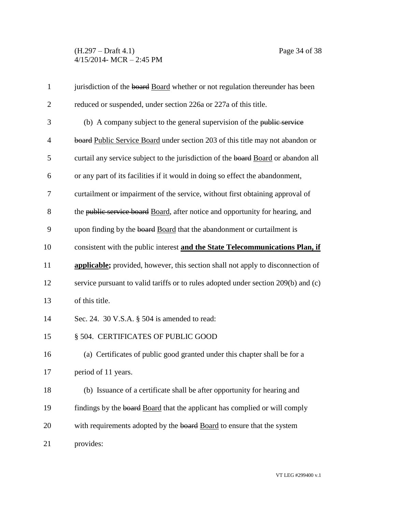(H.297 – Draft 4.1) Page 34 of 38 4/15/2014- MCR – 2:45 PM

| $\mathbf{1}$   | jurisdiction of the board Board whether or not regulation thereunder has been          |
|----------------|----------------------------------------------------------------------------------------|
| $\mathbf{2}$   | reduced or suspended, under section 226a or 227a of this title.                        |
| 3              | (b) A company subject to the general supervision of the public service                 |
| $\overline{4}$ | board Public Service Board under section 203 of this title may not abandon or          |
| 5              | curtail any service subject to the jurisdiction of the board Board or abandon all      |
| 6              | or any part of its facilities if it would in doing so effect the abandonment,          |
| 7              | curtailment or impairment of the service, without first obtaining approval of          |
| 8              | the public service board Board, after notice and opportunity for hearing, and          |
| 9              | upon finding by the board Board that the abandonment or curtailment is                 |
| 10             | consistent with the public interest and the State Telecommunications Plan, if          |
| 11             | <b>applicable;</b> provided, however, this section shall not apply to disconnection of |
| 12             | service pursuant to valid tariffs or to rules adopted under section 209(b) and (c)     |
| 13             | of this title.                                                                         |
| 14             | Sec. 24. 30 V.S.A. $\S$ 504 is amended to read:                                        |
| 15             | § 504. CERTIFICATES OF PUBLIC GOOD                                                     |
| 16             | (a) Certificates of public good granted under this chapter shall be for a              |
| 17             | period of 11 years.                                                                    |
| 18             | (b) Issuance of a certificate shall be after opportunity for hearing and               |
| 19             | findings by the board Board that the applicant has complied or will comply             |
| 20             | with requirements adopted by the board Board to ensure that the system                 |
| 21             | provides:                                                                              |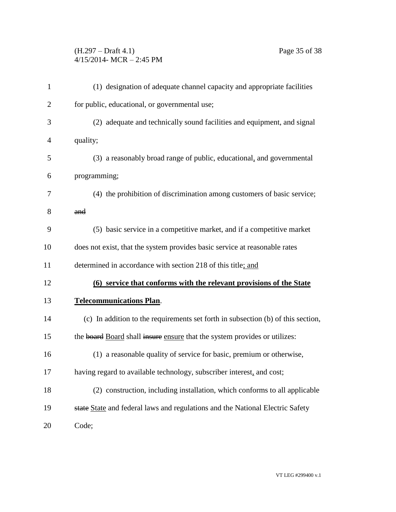## (H.297 – Draft 4.1) Page 35 of 38 4/15/2014- MCR – 2:45 PM

| $\mathbf{1}$   | (1) designation of adequate channel capacity and appropriate facilities          |
|----------------|----------------------------------------------------------------------------------|
| $\overline{2}$ | for public, educational, or governmental use;                                    |
| 3              | (2) adequate and technically sound facilities and equipment, and signal          |
| $\overline{4}$ | quality;                                                                         |
| 5              | (3) a reasonably broad range of public, educational, and governmental            |
| 6              | programming;                                                                     |
| $\tau$         | (4) the prohibition of discrimination among customers of basic service;          |
| 8              | and                                                                              |
| 9              | (5) basic service in a competitive market, and if a competitive market           |
| 10             | does not exist, that the system provides basic service at reasonable rates       |
| 11             | determined in accordance with section 218 of this title; and                     |
| 12             | (6) service that conforms with the relevant provisions of the State              |
| 13             | <b>Telecommunications Plan.</b>                                                  |
| 14             | (c) In addition to the requirements set forth in subsection (b) of this section, |
| 15             | the board Board shall insure ensure that the system provides or utilizes:        |
| 16             | (1) a reasonable quality of service for basic, premium or otherwise,             |
| 17             | having regard to available technology, subscriber interest, and cost;            |
| 18             | (2) construction, including installation, which conforms to all applicable       |
| 19             | state State and federal laws and regulations and the National Electric Safety    |
| 20             | Code;                                                                            |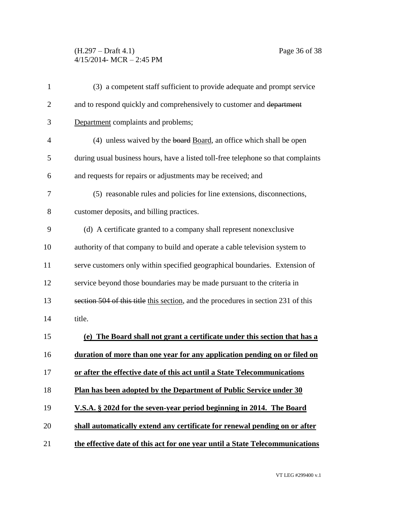## (H.297 – Draft 4.1) Page 36 of 38 4/15/2014- MCR – 2:45 PM

| $\mathbf{1}$   | (3) a competent staff sufficient to provide adequate and prompt service           |
|----------------|-----------------------------------------------------------------------------------|
| $\overline{2}$ | and to respond quickly and comprehensively to customer and department             |
| 3              | Department complaints and problems;                                               |
| $\overline{4}$ | (4) unless waived by the board Board, an office which shall be open               |
| 5              | during usual business hours, have a listed toll-free telephone so that complaints |
| 6              | and requests for repairs or adjustments may be received; and                      |
| 7              | (5) reasonable rules and policies for line extensions, disconnections,            |
| 8              | customer deposits, and billing practices.                                         |
| 9              | (d) A certificate granted to a company shall represent nonexclusive               |
| 10             | authority of that company to build and operate a cable television system to       |
| 11             | serve customers only within specified geographical boundaries. Extension of       |
| 12             | service beyond those boundaries may be made pursuant to the criteria in           |
| 13             | section 504 of this title this section, and the procedures in section 231 of this |
| 14             | title.                                                                            |
| 15             | (e) The Board shall not grant a certificate under this section that has a         |
| 16             | duration of more than one year for any application pending on or filed on         |
| 17             | or after the effective date of this act until a State Telecommunications          |
| 18             | Plan has been adopted by the Department of Public Service under 30                |
| 19             | <u>V.S.A. § 202d for the seven-year period beginning in 2014. The Board</u>       |
| 20             | shall automatically extend any certificate for renewal pending on or after        |
| 21             | the effective date of this act for one year until a State Telecommunications      |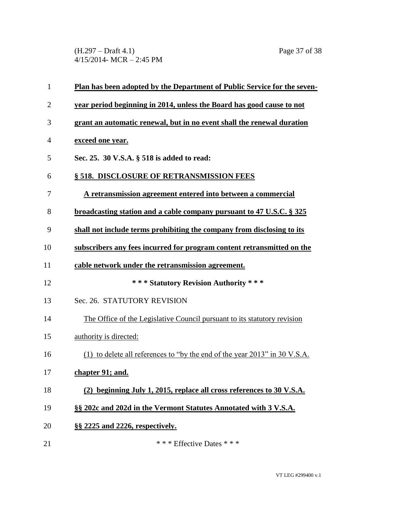(H.297 – Draft 4.1) Page 37 of 38 4/15/2014- MCR – 2:45 PM

| $\mathbf{1}$   | Plan has been adopted by the Department of Public Service for the seven-    |
|----------------|-----------------------------------------------------------------------------|
| $\overline{c}$ | year period beginning in 2014, unless the Board has good cause to not       |
| 3              | grant an automatic renewal, but in no event shall the renewal duration      |
| 4              | exceed one year.                                                            |
| 5              | Sec. 25. 30 V.S.A. § 518 is added to read:                                  |
| 6              | § 518. DISCLOSURE OF RETRANSMISSION FEES                                    |
| 7              | A retransmission agreement entered into between a commercial                |
| 8              | <u>broadcasting station and a cable company pursuant to 47 U.S.C. § 325</u> |
| 9              | shall not include terms prohibiting the company from disclosing to its      |
| 10             | subscribers any fees incurred for program content retransmitted on the      |
| 11             | cable network under the retransmission agreement.                           |
| 12             | *** Statutory Revision Authority ***                                        |
| 13             | Sec. 26. STATUTORY REVISION                                                 |
| 14             | The Office of the Legislative Council pursuant to its statutory revision    |
| 15             | authority is directed:                                                      |
| 16             | (1) to delete all references to "by the end of the year 2013" in 30 V.S.A.  |
| 17             | chapter 91; and.                                                            |
| 18             | (2) beginning July 1, 2015, replace all cross references to 30 V.S.A.       |
| 19             | §§ 202c and 202d in the Vermont Statutes Annotated with 3 V.S.A.            |
| 20             | §§ 2225 and 2226, respectively.                                             |
|                |                                                                             |

21 \*\*\* Effective Dates \* \* \*